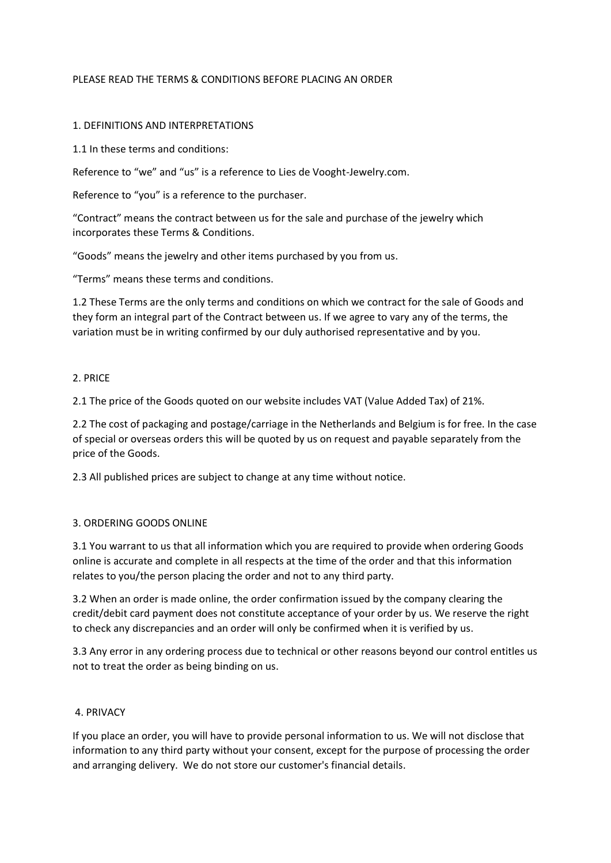## PLEASE READ THE TERMS & CONDITIONS BEFORE PLACING AN ORDER

#### 1. DEFINITIONS AND INTERPRETATIONS

1.1 In these terms and conditions:

Reference to "we" and "us" is a reference to Lies de Vooght-Jewelry.com.

Reference to "you" is a reference to the purchaser.

"Contract" means the contract between us for the sale and purchase of the jewelry which incorporates these Terms & Conditions.

"Goods" means the jewelry and other items purchased by you from us.

"Terms" means these terms and conditions.

1.2 These Terms are the only terms and conditions on which we contract for the sale of Goods and they form an integral part of the Contract between us. If we agree to vary any of the terms, the variation must be in writing confirmed by our duly authorised representative and by you.

#### 2. PRICE

2.1 The price of the Goods quoted on our website includes VAT (Value Added Tax) of 21%.

2.2 The cost of packaging and postage/carriage in the Netherlands and Belgium is for free. In the case of special or overseas orders this will be quoted by us on request and payable separately from the price of the Goods.

2.3 All published prices are subject to change at any time without notice.

# 3. ORDERING GOODS ONLINE

3.1 You warrant to us that all information which you are required to provide when ordering Goods online is accurate and complete in all respects at the time of the order and that this information relates to you/the person placing the order and not to any third party.

3.2 When an order is made online, the order confirmation issued by the company clearing the credit/debit card payment does not constitute acceptance of your order by us. We reserve the right to check any discrepancies and an order will only be confirmed when it is verified by us.

3.3 Any error in any ordering process due to technical or other reasons beyond our control entitles us not to treat the order as being binding on us.

#### 4. PRIVACY

If you place an order, you will have to provide personal information to us. We will not disclose that information to any third party without your consent, except for the purpose of processing the order and arranging delivery. We do not store our customer's financial details.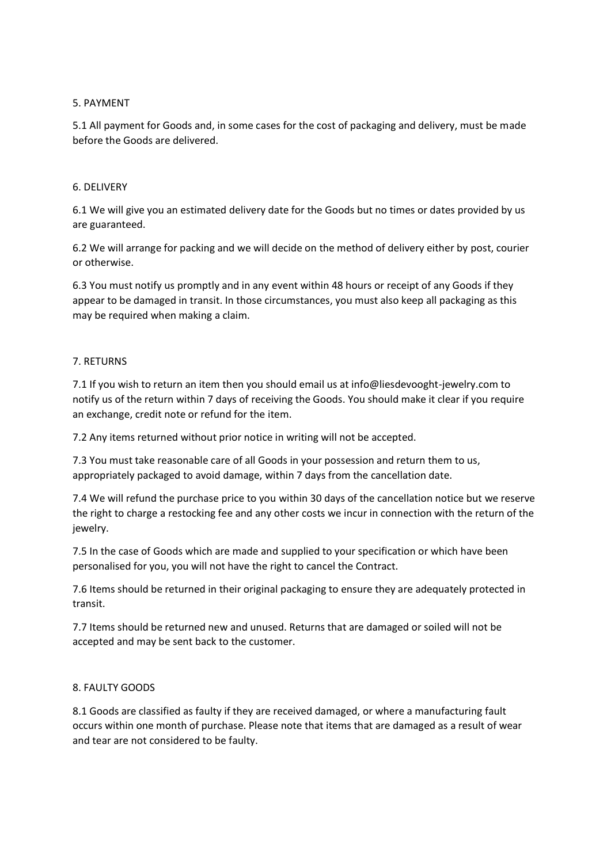#### 5. PAYMENT

5.1 All payment for Goods and, in some cases for the cost of packaging and delivery, must be made before the Goods are delivered.

## 6. DELIVERY

6.1 We will give you an estimated delivery date for the Goods but no times or dates provided by us are guaranteed.

6.2 We will arrange for packing and we will decide on the method of delivery either by post, courier or otherwise.

6.3 You must notify us promptly and in any event within 48 hours or receipt of any Goods if they appear to be damaged in transit. In those circumstances, you must also keep all packaging as this may be required when making a claim.

## 7. RETURNS

7.1 If you wish to return an item then you should email us at info@liesdevooght-jewelry.com to notify us of the return within 7 days of receiving the Goods. You should make it clear if you require an exchange, credit note or refund for the item.

7.2 Any items returned without prior notice in writing will not be accepted.

7.3 You must take reasonable care of all Goods in your possession and return them to us, appropriately packaged to avoid damage, within 7 days from the cancellation date.

7.4 We will refund the purchase price to you within 30 days of the cancellation notice but we reserve the right to charge a restocking fee and any other costs we incur in connection with the return of the jewelry.

7.5 In the case of Goods which are made and supplied to your specification or which have been personalised for you, you will not have the right to cancel the Contract.

7.6 Items should be returned in their original packaging to ensure they are adequately protected in transit.

7.7 Items should be returned new and unused. Returns that are damaged or soiled will not be accepted and may be sent back to the customer.

# 8. FAULTY GOODS

8.1 Goods are classified as faulty if they are received damaged, or where a manufacturing fault occurs within one month of purchase. Please note that items that are damaged as a result of wear and tear are not considered to be faulty.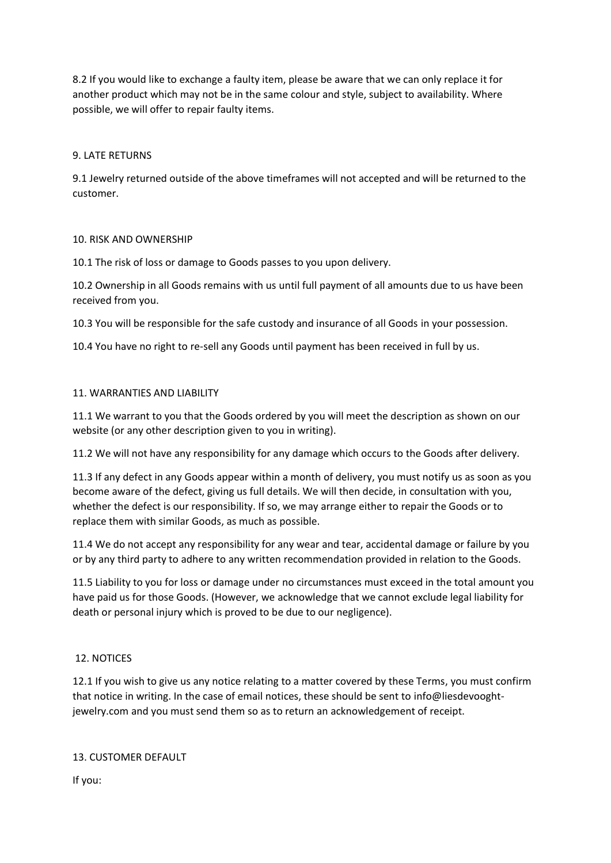8.2 If you would like to exchange a faulty item, please be aware that we can only replace it for another product which may not be in the same colour and style, subject to availability. Where possible, we will offer to repair faulty items.

## 9. LATE RETURNS

9.1 Jewelry returned outside of the above timeframes will not accepted and will be returned to the customer.

#### 10. RISK AND OWNERSHIP

10.1 The risk of loss or damage to Goods passes to you upon delivery.

10.2 Ownership in all Goods remains with us until full payment of all amounts due to us have been received from you.

10.3 You will be responsible for the safe custody and insurance of all Goods in your possession.

10.4 You have no right to re-sell any Goods until payment has been received in full by us.

## 11. WARRANTIES AND LIABILITY

11.1 We warrant to you that the Goods ordered by you will meet the description as shown on our website (or any other description given to you in writing).

11.2 We will not have any responsibility for any damage which occurs to the Goods after delivery.

11.3 If any defect in any Goods appear within a month of delivery, you must notify us as soon as you become aware of the defect, giving us full details. We will then decide, in consultation with you, whether the defect is our responsibility. If so, we may arrange either to repair the Goods or to replace them with similar Goods, as much as possible.

11.4 We do not accept any responsibility for any wear and tear, accidental damage or failure by you or by any third party to adhere to any written recommendation provided in relation to the Goods.

11.5 Liability to you for loss or damage under no circumstances must exceed in the total amount you have paid us for those Goods. (However, we acknowledge that we cannot exclude legal liability for death or personal injury which is proved to be due to our negligence).

# 12. NOTICES

12.1 If you wish to give us any notice relating to a matter covered by these Terms, you must confirm that notice in writing. In the case of email notices, these should be sent to info@liesdevooghtjewelry.com and you must send them so as to return an acknowledgement of receipt.

# 13. CUSTOMER DEFAULT

If you: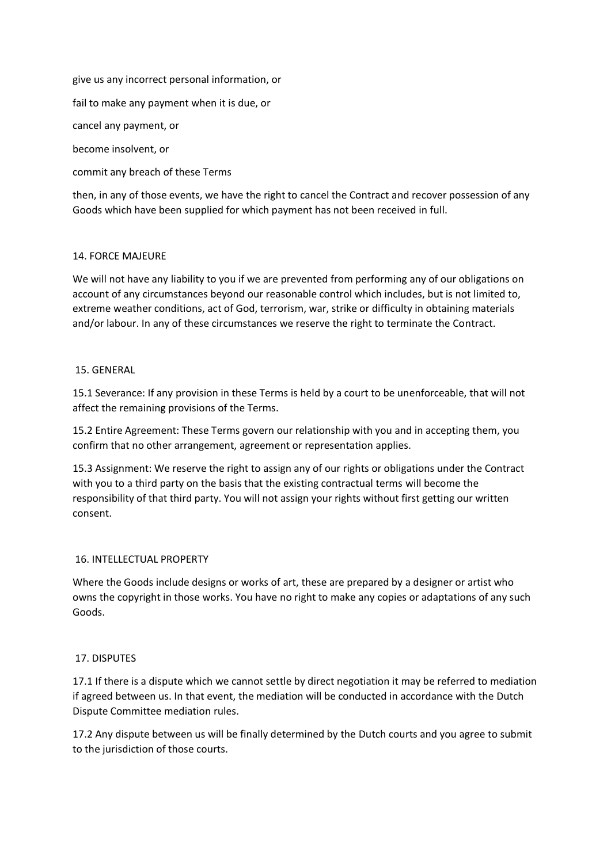give us any incorrect personal information, or fail to make any payment when it is due, or cancel any payment, or become insolvent, or commit any breach of these Terms

then, in any of those events, we have the right to cancel the Contract and recover possession of any Goods which have been supplied for which payment has not been received in full.

## 14. FORCE MAJEURE

We will not have any liability to you if we are prevented from performing any of our obligations on account of any circumstances beyond our reasonable control which includes, but is not limited to, extreme weather conditions, act of God, terrorism, war, strike or difficulty in obtaining materials and/or labour. In any of these circumstances we reserve the right to terminate the Contract.

## 15. GENERAL

15.1 Severance: If any provision in these Terms is held by a court to be unenforceable, that will not affect the remaining provisions of the Terms.

15.2 Entire Agreement: These Terms govern our relationship with you and in accepting them, you confirm that no other arrangement, agreement or representation applies.

15.3 Assignment: We reserve the right to assign any of our rights or obligations under the Contract with you to a third party on the basis that the existing contractual terms will become the responsibility of that third party. You will not assign your rights without first getting our written consent.

#### 16. INTELLECTUAL PROPERTY

Where the Goods include designs or works of art, these are prepared by a designer or artist who owns the copyright in those works. You have no right to make any copies or adaptations of any such Goods.

#### 17. DISPUTES

17.1 If there is a dispute which we cannot settle by direct negotiation it may be referred to mediation if agreed between us. In that event, the mediation will be conducted in accordance with the Dutch Dispute Committee mediation rules.

17.2 Any dispute between us will be finally determined by the Dutch courts and you agree to submit to the jurisdiction of those courts.